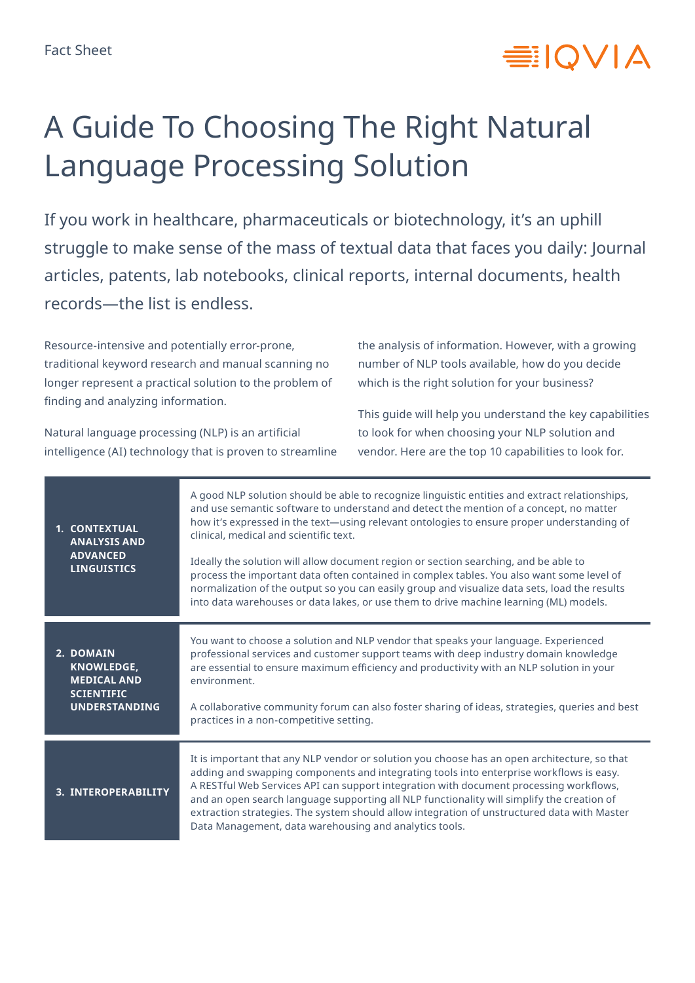## **≡IOVIA**

## A Guide To Choosing The Right Natural Language Processing Solution

If you work in healthcare, pharmaceuticals or biotechnology, it's an uphill struggle to make sense of the mass of textual data that faces you daily: Journal articles, patents, lab notebooks, clinical reports, internal documents, health records—the list is endless.

Resource-intensive and potentially error-prone, traditional keyword research and manual scanning no longer represent a practical solution to the problem of finding and analyzing information.

Natural language processing (NLP) is an artificial intelligence (AI) technology that is proven to streamline

the analysis of information. However, with a growing number of NLP tools available, how do you decide which is the right solution for your business?

This guide will help you understand the key capabilities to look for when choosing your NLP solution and vendor. Here are the top 10 capabilities to look for.

| <b>1. CONTEXTUAL</b><br><b>ANALYSIS AND</b><br><b>ADVANCED</b><br><b>LINGUISTICS</b>              | A good NLP solution should be able to recognize linguistic entities and extract relationships,<br>and use semantic software to understand and detect the mention of a concept, no matter<br>how it's expressed in the text-using relevant ontologies to ensure proper understanding of<br>clinical, medical and scientific text.<br>Ideally the solution will allow document region or section searching, and be able to<br>process the important data often contained in complex tables. You also want some level of<br>normalization of the output so you can easily group and visualize data sets, load the results<br>into data warehouses or data lakes, or use them to drive machine learning (ML) models. |
|---------------------------------------------------------------------------------------------------|------------------------------------------------------------------------------------------------------------------------------------------------------------------------------------------------------------------------------------------------------------------------------------------------------------------------------------------------------------------------------------------------------------------------------------------------------------------------------------------------------------------------------------------------------------------------------------------------------------------------------------------------------------------------------------------------------------------|
| 2. DOMAIN<br><b>KNOWLEDGE,</b><br><b>MEDICAL AND</b><br><b>SCIENTIFIC</b><br><b>UNDERSTANDING</b> | You want to choose a solution and NLP vendor that speaks your language. Experienced<br>professional services and customer support teams with deep industry domain knowledge<br>are essential to ensure maximum efficiency and productivity with an NLP solution in your<br>environment.<br>A collaborative community forum can also foster sharing of ideas, strategies, queries and best<br>practices in a non-competitive setting.                                                                                                                                                                                                                                                                             |
| <b>3. INTEROPERABILITY</b>                                                                        | It is important that any NLP vendor or solution you choose has an open architecture, so that<br>adding and swapping components and integrating tools into enterprise workflows is easy.<br>A RESTful Web Services API can support integration with document processing workflows,<br>and an open search language supporting all NLP functionality will simplify the creation of<br>extraction strategies. The system should allow integration of unstructured data with Master<br>Data Management, data warehousing and analytics tools.                                                                                                                                                                         |